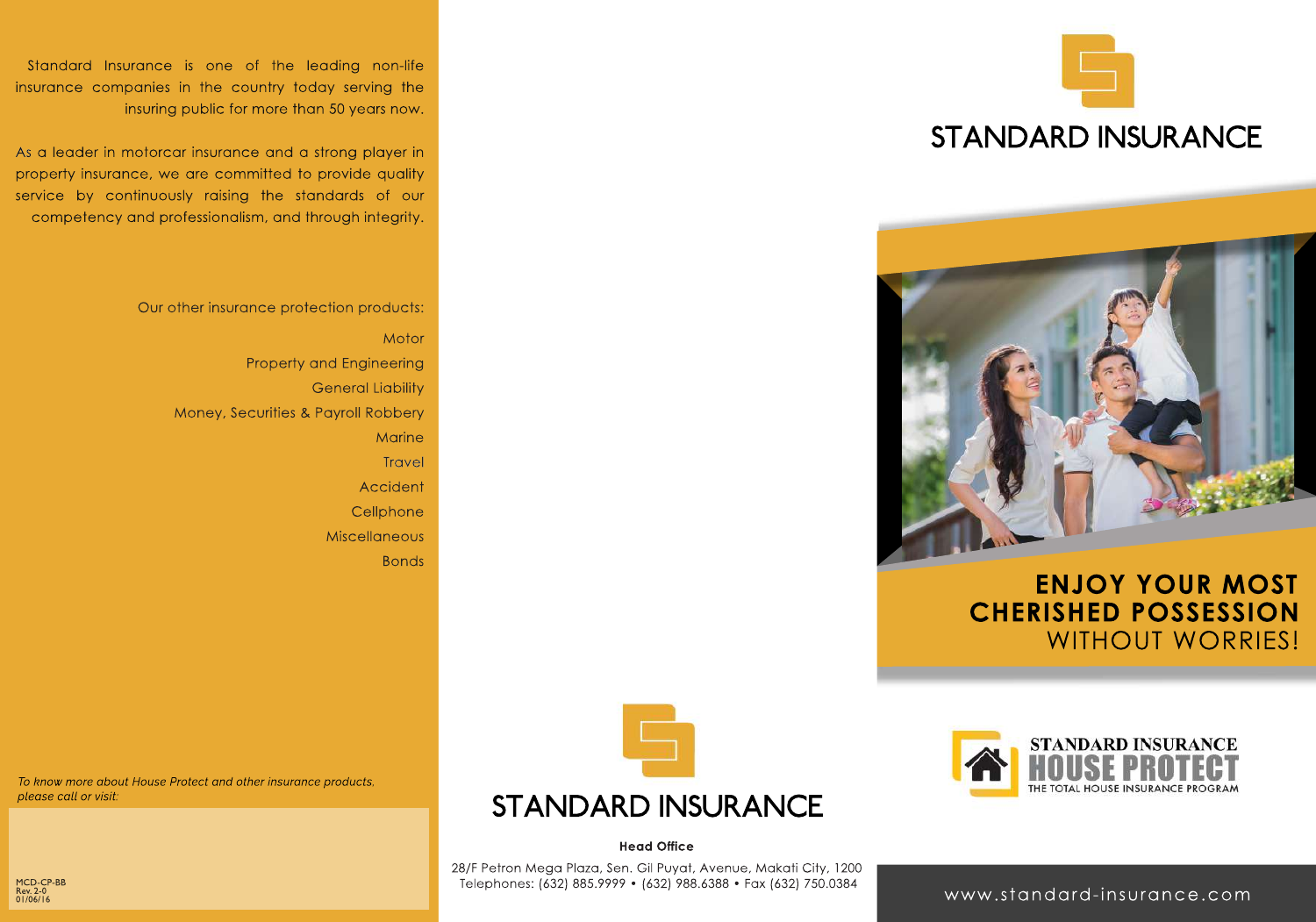



# **ENJOY YOUR MOST CHERISHED POSSESSION** WITHOUT WORRIES!



Standard Insurance is one of the leading non-life insurance companies in the country today serving the insuring public for more than 50 years now.

As a leader in motorcar insurance and a strong player in property insurance, we are committed to provide quality service by continuously raising the standards of our competency and professionalism, and through integrity.

> Our other insurance protection products: Motor Property and Engineering **General Liability** Money, Securities & Payroll Robbery Marine **Travel** Accident **Cellphone** Miscellaneous Bonds



**Head Office** 

28/F Petron Mega Plaza, Sen. Gil Puyat, Avenue, Makati City, 1200 Telephones: (632) 885.9999 • (632) 988.6388 • Fax (632) 750.0384

To know more about House Protect and other insurance products, *pleasecallorvisit:*